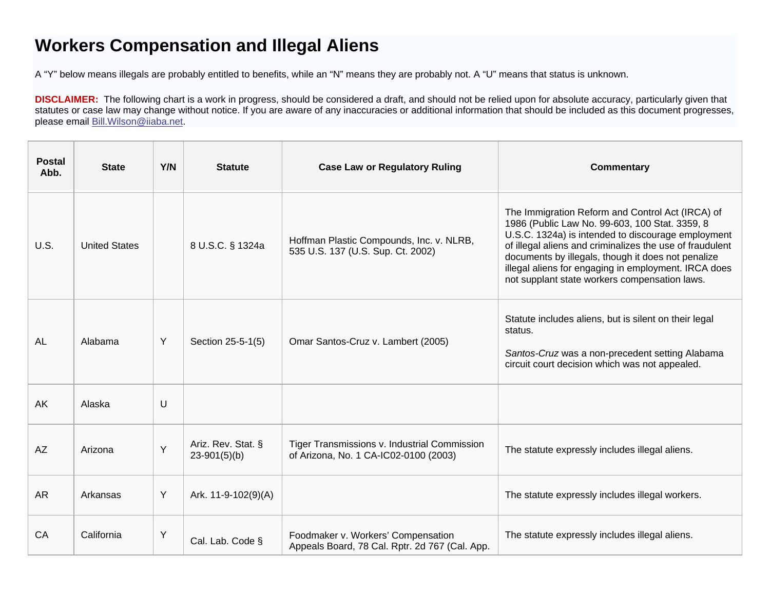# **Workers Compensation and Illegal Aliens**

A "Y" below means illegals are probably entitled to benefits, while an "N" means they are probably not. A "U" means that status is unknown.

**DISCLAIMER:** The following chart is a work in progress, should be considered a draft, and should not be relied upon for absolute accuracy, particularly given that statutes or case law may change without notice. If you are aware of any inaccuracies or additional information that should be included as this document progresses, please email [Bill.Wilson@iiaba.net](mailto:Bill.Wilson@iiaba.net).

| <b>Postal</b><br>Abb. | <b>State</b>         | Y/N | <b>Statute</b>                       | <b>Case Law or Regulatory Ruling</b>                                                  | <b>Commentary</b>                                                                                                                                                                                                                                                                                                                                                                   |
|-----------------------|----------------------|-----|--------------------------------------|---------------------------------------------------------------------------------------|-------------------------------------------------------------------------------------------------------------------------------------------------------------------------------------------------------------------------------------------------------------------------------------------------------------------------------------------------------------------------------------|
| U.S.                  | <b>United States</b> |     | 8 U.S.C. § 1324a                     | Hoffman Plastic Compounds, Inc. v. NLRB,<br>535 U.S. 137 (U.S. Sup. Ct. 2002)         | The Immigration Reform and Control Act (IRCA) of<br>1986 (Public Law No. 99-603, 100 Stat. 3359, 8<br>U.S.C. 1324a) is intended to discourage employment<br>of illegal aliens and criminalizes the use of fraudulent<br>documents by illegals, though it does not penalize<br>illegal aliens for engaging in employment. IRCA does<br>not supplant state workers compensation laws. |
| <b>AL</b>             | Alabama              | Y   | Section 25-5-1(5)                    | Omar Santos-Cruz v. Lambert (2005)                                                    | Statute includes aliens, but is silent on their legal<br>status.<br>Santos-Cruz was a non-precedent setting Alabama<br>circuit court decision which was not appealed.                                                                                                                                                                                                               |
| <b>AK</b>             | Alaska               | U   |                                      |                                                                                       |                                                                                                                                                                                                                                                                                                                                                                                     |
| <b>AZ</b>             | Arizona              | Y   | Ariz. Rev. Stat. §<br>$23-901(5)(b)$ | Tiger Transmissions v. Industrial Commission<br>of Arizona, No. 1 CA-IC02-0100 (2003) | The statute expressly includes illegal aliens.                                                                                                                                                                                                                                                                                                                                      |
| <b>AR</b>             | Arkansas             | Y   | Ark. 11-9-102(9)(A)                  |                                                                                       | The statute expressly includes illegal workers.                                                                                                                                                                                                                                                                                                                                     |
| CA                    | California           | Y   | Cal. Lab. Code §                     | Foodmaker v. Workers' Compensation<br>Appeals Board, 78 Cal. Rptr. 2d 767 (Cal. App.  | The statute expressly includes illegal aliens.                                                                                                                                                                                                                                                                                                                                      |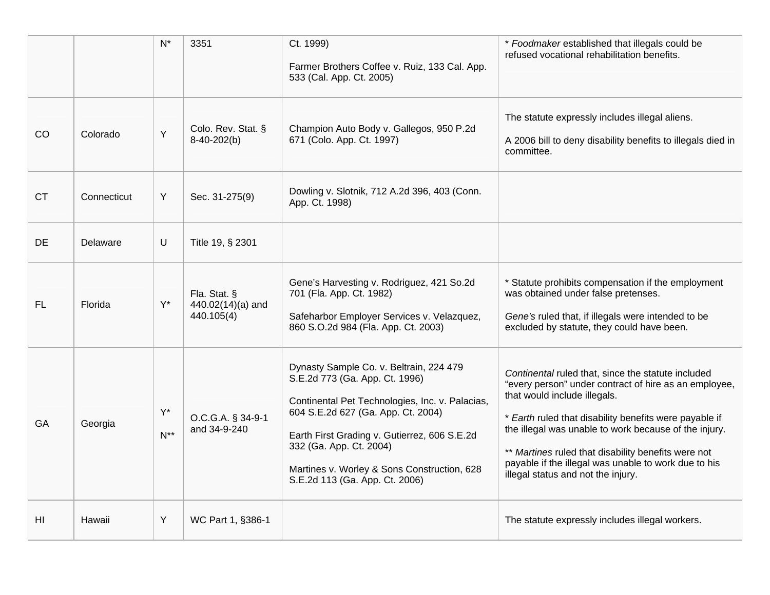|                |             | $N^*$             | 3351                                            | Ct. 1999)<br>Farmer Brothers Coffee v. Ruiz, 133 Cal. App.<br>533 (Cal. App. Ct. 2005)                                                                                                                                                                                                                                         | * Foodmaker established that illegals could be<br>refused vocational rehabilitation benefits.                                                                                                                                                                                                                                                                                                                       |
|----------------|-------------|-------------------|-------------------------------------------------|--------------------------------------------------------------------------------------------------------------------------------------------------------------------------------------------------------------------------------------------------------------------------------------------------------------------------------|---------------------------------------------------------------------------------------------------------------------------------------------------------------------------------------------------------------------------------------------------------------------------------------------------------------------------------------------------------------------------------------------------------------------|
| CO             | Colorado    | Y                 | Colo. Rev. Stat. §<br>8-40-202(b)               | Champion Auto Body v. Gallegos, 950 P.2d<br>671 (Colo. App. Ct. 1997)                                                                                                                                                                                                                                                          | The statute expressly includes illegal aliens.<br>A 2006 bill to deny disability benefits to illegals died in<br>committee.                                                                                                                                                                                                                                                                                         |
| <b>CT</b>      | Connecticut | Y                 | Sec. 31-275(9)                                  | Dowling v. Slotnik, 712 A.2d 396, 403 (Conn.<br>App. Ct. 1998)                                                                                                                                                                                                                                                                 |                                                                                                                                                                                                                                                                                                                                                                                                                     |
| DE             | Delaware    | U                 | Title 19, § 2301                                |                                                                                                                                                                                                                                                                                                                                |                                                                                                                                                                                                                                                                                                                                                                                                                     |
| FL             | Florida     | $Y^*$             | Fla. Stat. §<br>440.02(14)(a) and<br>440.105(4) | Gene's Harvesting v. Rodriguez, 421 So.2d<br>701 (Fla. App. Ct. 1982)<br>Safeharbor Employer Services v. Velazquez,<br>860 S.O.2d 984 (Fla. App. Ct. 2003)                                                                                                                                                                     | * Statute prohibits compensation if the employment<br>was obtained under false pretenses.<br>Gene's ruled that, if illegals were intended to be<br>excluded by statute, they could have been.                                                                                                                                                                                                                       |
| GA             | Georgia     | $Y^*$<br>$N^{**}$ | O.C.G.A. § 34-9-1<br>and 34-9-240               | Dynasty Sample Co. v. Beltrain, 224 479<br>S.E.2d 773 (Ga. App. Ct. 1996)<br>Continental Pet Technologies, Inc. v. Palacias,<br>604 S.E.2d 627 (Ga. App. Ct. 2004)<br>Earth First Grading v. Gutierrez, 606 S.E.2d<br>332 (Ga. App. Ct. 2004)<br>Martines v. Worley & Sons Construction, 628<br>S.E.2d 113 (Ga. App. Ct. 2006) | Continental ruled that, since the statute included<br>"every person" under contract of hire as an employee,<br>that would include illegals.<br>* Earth ruled that disability benefits were payable if<br>the illegal was unable to work because of the injury.<br>** Martines ruled that disability benefits were not<br>payable if the illegal was unable to work due to his<br>illegal status and not the injury. |
| H <sub>l</sub> | Hawaii      | Y                 | WC Part 1, §386-1                               |                                                                                                                                                                                                                                                                                                                                | The statute expressly includes illegal workers.                                                                                                                                                                                                                                                                                                                                                                     |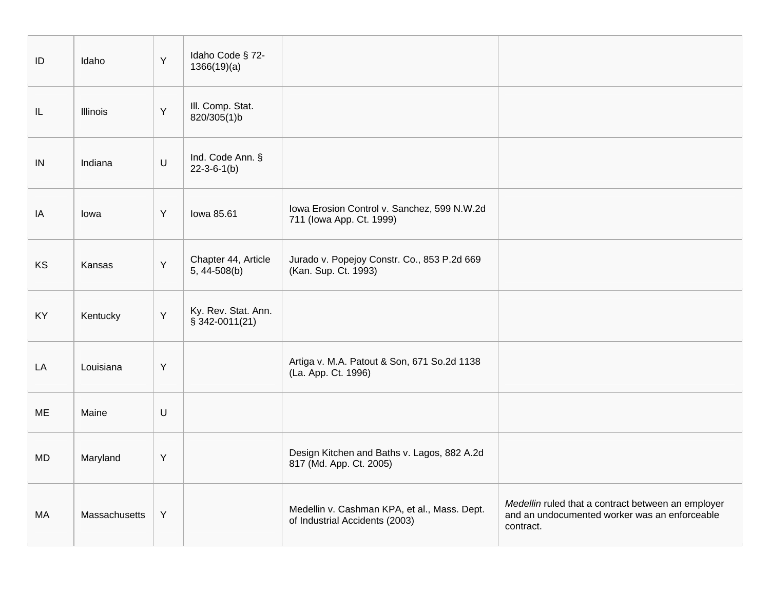| ID | Idaho         | Y       | Idaho Code § 72-<br>1366(19)(a)         |                                                                                |                                                                                                                  |
|----|---------------|---------|-----------------------------------------|--------------------------------------------------------------------------------|------------------------------------------------------------------------------------------------------------------|
| IL | Illinois      | Y       | III. Comp. Stat.<br>820/305(1)b         |                                                                                |                                                                                                                  |
| IN | Indiana       | $\sf U$ | Ind. Code Ann. §<br>$22 - 3 - 6 - 1(b)$ |                                                                                |                                                                                                                  |
| IA | lowa          | Y       | lowa 85.61                              | Iowa Erosion Control v. Sanchez, 599 N.W.2d<br>711 (Iowa App. Ct. 1999)        |                                                                                                                  |
| KS | Kansas        | Y       | Chapter 44, Article<br>5, 44-508(b)     | Jurado v. Popejoy Constr. Co., 853 P.2d 669<br>(Kan. Sup. Ct. 1993)            |                                                                                                                  |
| KY | Kentucky      | Y       | Ky. Rev. Stat. Ann.<br>$$342-0011(21)$  |                                                                                |                                                                                                                  |
| LA | Louisiana     | Y       |                                         | Artiga v. M.A. Patout & Son, 671 So.2d 1138<br>(La. App. Ct. 1996)             |                                                                                                                  |
| ME | Maine         | $\sf U$ |                                         |                                                                                |                                                                                                                  |
| MD | Maryland      | Y       |                                         | Design Kitchen and Baths v. Lagos, 882 A.2d<br>817 (Md. App. Ct. 2005)         |                                                                                                                  |
| MA | Massachusetts | Y       |                                         | Medellin v. Cashman KPA, et al., Mass. Dept.<br>of Industrial Accidents (2003) | Medellin ruled that a contract between an employer<br>and an undocumented worker was an enforceable<br>contract. |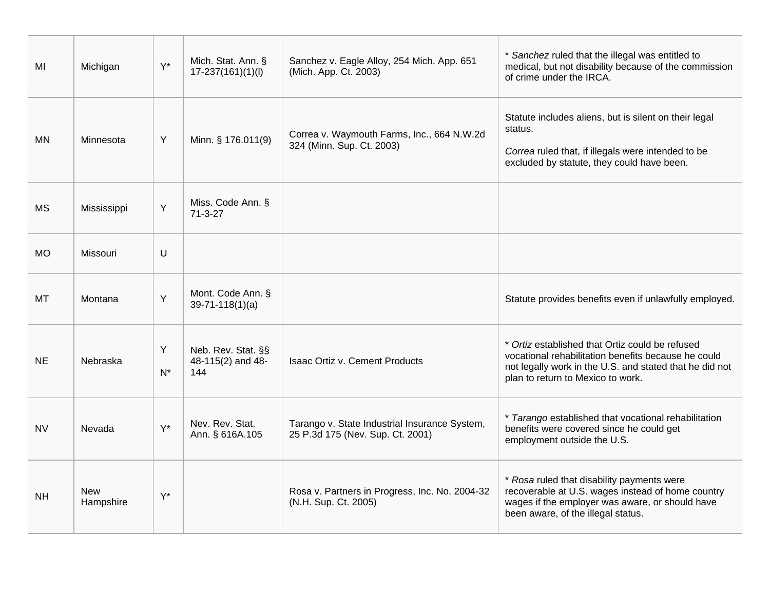| MI        | Michigan                | $Y^*$      | Mich. Stat. Ann. §<br>$17 - 237(161)(1)(1)$    | Sanchez v. Eagle Alloy, 254 Mich. App. 651<br>(Mich. App. Ct. 2003)               | * Sanchez ruled that the illegal was entitled to<br>medical, but not disability because of the commission<br>of crime under the IRCA.                                                                  |
|-----------|-------------------------|------------|------------------------------------------------|-----------------------------------------------------------------------------------|--------------------------------------------------------------------------------------------------------------------------------------------------------------------------------------------------------|
| <b>MN</b> | Minnesota               | Y          | Minn. § 176.011(9)                             | Correa v. Waymouth Farms, Inc., 664 N.W.2d<br>324 (Minn. Sup. Ct. 2003)           | Statute includes aliens, but is silent on their legal<br>status.<br>Correa ruled that, if illegals were intended to be<br>excluded by statute, they could have been.                                   |
| <b>MS</b> | Mississippi             | Y          | Miss. Code Ann. §<br>$71 - 3 - 27$             |                                                                                   |                                                                                                                                                                                                        |
| <b>MO</b> | Missouri                | $\cup$     |                                                |                                                                                   |                                                                                                                                                                                                        |
| МT        | Montana                 | Y          | Mont. Code Ann. §<br>$39-71-118(1)(a)$         |                                                                                   | Statute provides benefits even if unlawfully employed.                                                                                                                                                 |
| <b>NE</b> | Nebraska                | Y<br>$N^*$ | Neb. Rev. Stat. §§<br>48-115(2) and 48-<br>144 | <b>Isaac Ortiz v. Cement Products</b>                                             | * Ortiz established that Ortiz could be refused<br>vocational rehabilitation benefits because he could<br>not legally work in the U.S. and stated that he did not<br>plan to return to Mexico to work. |
| <b>NV</b> | Nevada                  | $Y^*$      | Nev. Rev. Stat.<br>Ann. § 616A.105             | Tarango v. State Industrial Insurance System,<br>25 P.3d 175 (Nev. Sup. Ct. 2001) | * Tarango established that vocational rehabilitation<br>benefits were covered since he could get<br>employment outside the U.S.                                                                        |
| <b>NH</b> | <b>New</b><br>Hampshire | $Y^*$      |                                                | Rosa v. Partners in Progress, Inc. No. 2004-32<br>(N.H. Sup. Ct. 2005)            | * Rosa ruled that disability payments were<br>recoverable at U.S. wages instead of home country<br>wages if the employer was aware, or should have<br>been aware, of the illegal status.               |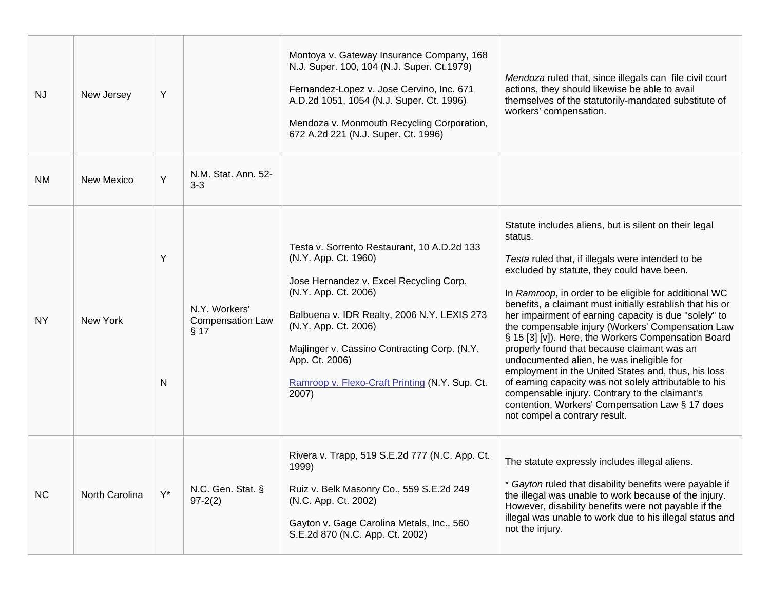| <b>NJ</b> | New Jersey        | Y      |                                                  | Montoya v. Gateway Insurance Company, 168<br>N.J. Super. 100, 104 (N.J. Super. Ct.1979)<br>Fernandez-Lopez v. Jose Cervino, Inc. 671<br>A.D.2d 1051, 1054 (N.J. Super. Ct. 1996)<br>Mendoza v. Monmouth Recycling Corporation,<br>672 A.2d 221 (N.J. Super. Ct. 1996)                                                                      | Mendoza ruled that, since illegals can file civil court<br>actions, they should likewise be able to avail<br>themselves of the statutorily-mandated substitute of<br>workers' compensation.                                                                                                                                                                                                                                                                                                                                                                                                                                                                                                                                                                                                                       |
|-----------|-------------------|--------|--------------------------------------------------|--------------------------------------------------------------------------------------------------------------------------------------------------------------------------------------------------------------------------------------------------------------------------------------------------------------------------------------------|-------------------------------------------------------------------------------------------------------------------------------------------------------------------------------------------------------------------------------------------------------------------------------------------------------------------------------------------------------------------------------------------------------------------------------------------------------------------------------------------------------------------------------------------------------------------------------------------------------------------------------------------------------------------------------------------------------------------------------------------------------------------------------------------------------------------|
| <b>NM</b> | <b>New Mexico</b> | Y      | N.M. Stat. Ann. 52-<br>$3-3$                     |                                                                                                                                                                                                                                                                                                                                            |                                                                                                                                                                                                                                                                                                                                                                                                                                                                                                                                                                                                                                                                                                                                                                                                                   |
| <b>NY</b> | New York          | Y<br>N | N.Y. Workers'<br><b>Compensation Law</b><br>§ 17 | Testa v. Sorrento Restaurant, 10 A.D.2d 133<br>(N.Y. App. Ct. 1960)<br>Jose Hernandez v. Excel Recycling Corp.<br>(N.Y. App. Ct. 2006)<br>Balbuena v. IDR Realty, 2006 N.Y. LEXIS 273<br>(N.Y. App. Ct. 2006)<br>Majlinger v. Cassino Contracting Corp. (N.Y.<br>App. Ct. 2006)<br>Ramroop v. Flexo-Craft Printing (N.Y. Sup. Ct.<br>2007) | Statute includes aliens, but is silent on their legal<br>status.<br>Testa ruled that, if illegals were intended to be<br>excluded by statute, they could have been.<br>In Ramroop, in order to be eligible for additional WC<br>benefits, a claimant must initially establish that his or<br>her impairment of earning capacity is due "solely" to<br>the compensable injury (Workers' Compensation Law<br>§ 15 [3] [v]). Here, the Workers Compensation Board<br>properly found that because claimant was an<br>undocumented alien, he was ineligible for<br>employment in the United States and, thus, his loss<br>of earning capacity was not solely attributable to his<br>compensable injury. Contrary to the claimant's<br>contention, Workers' Compensation Law § 17 does<br>not compel a contrary result. |
| <b>NC</b> | North Carolina    | $Y^*$  | N.C. Gen. Stat. §<br>$97 - 2(2)$                 | Rivera v. Trapp, 519 S.E.2d 777 (N.C. App. Ct.<br>1999)<br>Ruiz v. Belk Masonry Co., 559 S.E.2d 249<br>(N.C. App. Ct. 2002)<br>Gayton v. Gage Carolina Metals, Inc., 560<br>S.E.2d 870 (N.C. App. Ct. 2002)                                                                                                                                | The statute expressly includes illegal aliens.<br>* Gayton ruled that disability benefits were payable if<br>the illegal was unable to work because of the injury.<br>However, disability benefits were not payable if the<br>illegal was unable to work due to his illegal status and<br>not the injury.                                                                                                                                                                                                                                                                                                                                                                                                                                                                                                         |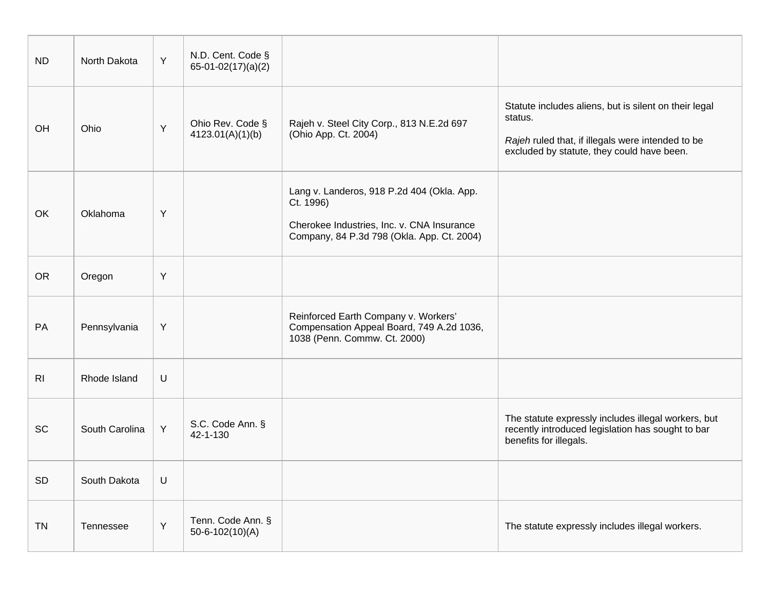| <b>ND</b>      | North Dakota   | Y | N.D. Cent. Code §<br>$65-01-02(17)(a)(2)$  |                                                                                                                                                     |                                                                                                                                                                     |
|----------------|----------------|---|--------------------------------------------|-----------------------------------------------------------------------------------------------------------------------------------------------------|---------------------------------------------------------------------------------------------------------------------------------------------------------------------|
| OH             | Ohio           | Y | Ohio Rev. Code §<br>4123.01(A)(1)(b)       | Rajeh v. Steel City Corp., 813 N.E.2d 697<br>(Ohio App. Ct. 2004)                                                                                   | Statute includes aliens, but is silent on their legal<br>status.<br>Rajeh ruled that, if illegals were intended to be<br>excluded by statute, they could have been. |
| OK             | Oklahoma       | Y |                                            | Lang v. Landeros, 918 P.2d 404 (Okla. App.<br>Ct. 1996)<br>Cherokee Industries, Inc. v. CNA Insurance<br>Company, 84 P.3d 798 (Okla. App. Ct. 2004) |                                                                                                                                                                     |
| <b>OR</b>      | Oregon         | Y |                                            |                                                                                                                                                     |                                                                                                                                                                     |
| PA             | Pennsylvania   | Y |                                            | Reinforced Earth Company v. Workers'<br>Compensation Appeal Board, 749 A.2d 1036,<br>1038 (Penn. Commw. Ct. 2000)                                   |                                                                                                                                                                     |
| R <sub>l</sub> | Rhode Island   | U |                                            |                                                                                                                                                     |                                                                                                                                                                     |
| <b>SC</b>      | South Carolina | Y | S.C. Code Ann. §<br>42-1-130               |                                                                                                                                                     | The statute expressly includes illegal workers, but<br>recently introduced legislation has sought to bar<br>benefits for illegals.                                  |
| SD             | South Dakota   | U |                                            |                                                                                                                                                     |                                                                                                                                                                     |
| <b>TN</b>      | Tennessee      | Y | Tenn. Code Ann. §<br>$50 - 6 - 102(10)(A)$ |                                                                                                                                                     | The statute expressly includes illegal workers.                                                                                                                     |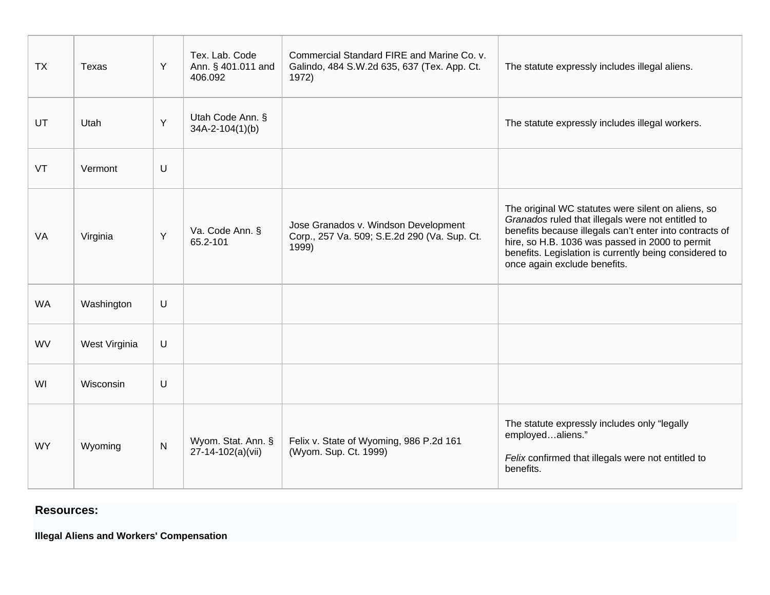| <b>TX</b> | Texas         | Y         | Tex. Lab. Code<br>Ann. § 401.011 and<br>406.092 | Commercial Standard FIRE and Marine Co. v.<br>Galindo, 484 S.W.2d 635, 637 (Tex. App. Ct.<br>1972) | The statute expressly includes illegal aliens.                                                                                                                                                                                                                                                                  |
|-----------|---------------|-----------|-------------------------------------------------|----------------------------------------------------------------------------------------------------|-----------------------------------------------------------------------------------------------------------------------------------------------------------------------------------------------------------------------------------------------------------------------------------------------------------------|
| UT        | Utah          | Y         | Utah Code Ann. §<br>34A-2-104(1)(b)             |                                                                                                    | The statute expressly includes illegal workers.                                                                                                                                                                                                                                                                 |
| VT        | Vermont       | $\cup$    |                                                 |                                                                                                    |                                                                                                                                                                                                                                                                                                                 |
| VA        | Virginia      | Y         | Va. Code Ann. §<br>65.2-101                     | Jose Granados v. Windson Development<br>Corp., 257 Va. 509; S.E.2d 290 (Va. Sup. Ct.<br>1999)      | The original WC statutes were silent on aliens, so<br>Granados ruled that illegals were not entitled to<br>benefits because illegals can't enter into contracts of<br>hire, so H.B. 1036 was passed in 2000 to permit<br>benefits. Legislation is currently being considered to<br>once again exclude benefits. |
| <b>WA</b> | Washington    | $\cup$    |                                                 |                                                                                                    |                                                                                                                                                                                                                                                                                                                 |
| <b>WV</b> | West Virginia | $\cup$    |                                                 |                                                                                                    |                                                                                                                                                                                                                                                                                                                 |
| WI        | Wisconsin     | $\cup$    |                                                 |                                                                                                    |                                                                                                                                                                                                                                                                                                                 |
| <b>WY</b> | Wyoming       | ${\sf N}$ | Wyom. Stat. Ann. §<br>27-14-102(a)(vii)         | Felix v. State of Wyoming, 986 P.2d 161<br>(Wyom. Sup. Ct. 1999)                                   | The statute expressly includes only "legally<br>employedaliens."<br>Felix confirmed that illegals were not entitled to<br>benefits.                                                                                                                                                                             |

# **Resources:**

**Illegal Aliens and Workers' Compensation**